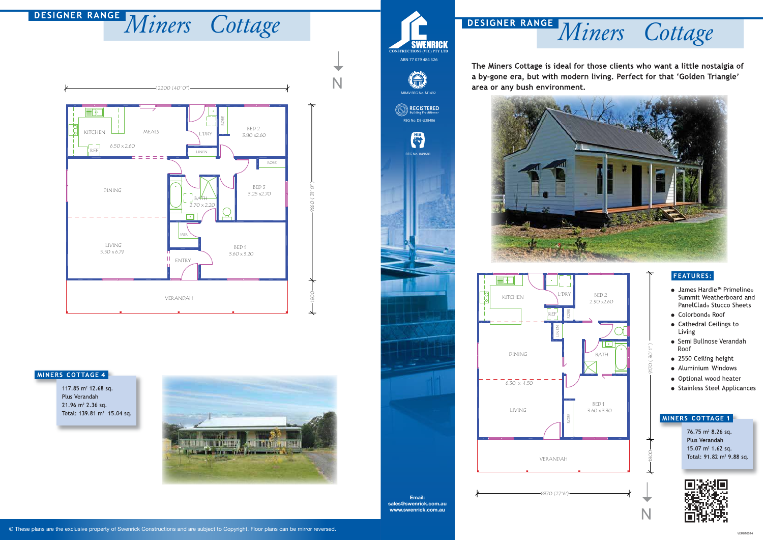### © These plans are the exclusive property of Swenrick Constructions and are subject to Copyright. Floor plans can be mirror reversed.

## **FEATURES:**

- James Hardie<sup>™</sup> Primeline<sup>®</sup> Summit Weatherboard and PanelClad® Stucco Sheets
- Colorbond® Roof
- Cathedral Ceilings to Living
- Semi Bullnose Verandah Roof
- 2550 Ceiling height
- · Aluminium Windows
- · Optional wood heater
- Stainless Steel Applicances

## MINERS COTTAGE 1



# **DESIGNER RANGE Miners Cottage SWENRICK DESIGNER RANGE Miners Cottage**

The Miners Cottage is ideal for those clients who want a little nostalgia of a by-gone era, but with modern living. Perfect for that 'Golden Triangle' area or any bush environment.





1800 9170 ( 30' 1" )

 $\widetilde{C}$ 

76.75 m<sup>2</sup> 8.26 sq. Plus Verandah 15.07  $m^2$  1.62 sq. Total: 91.82 m<sup>2</sup> 9.88 sq.





### MINERS COTTAGE 4

117.85 m<sup>2</sup> 12.68 sq. Plus Verandah  $21.96$  m<sup>2</sup> 2.36 sq. Total: 139.81 m<sup>2</sup> 15.04 sq.